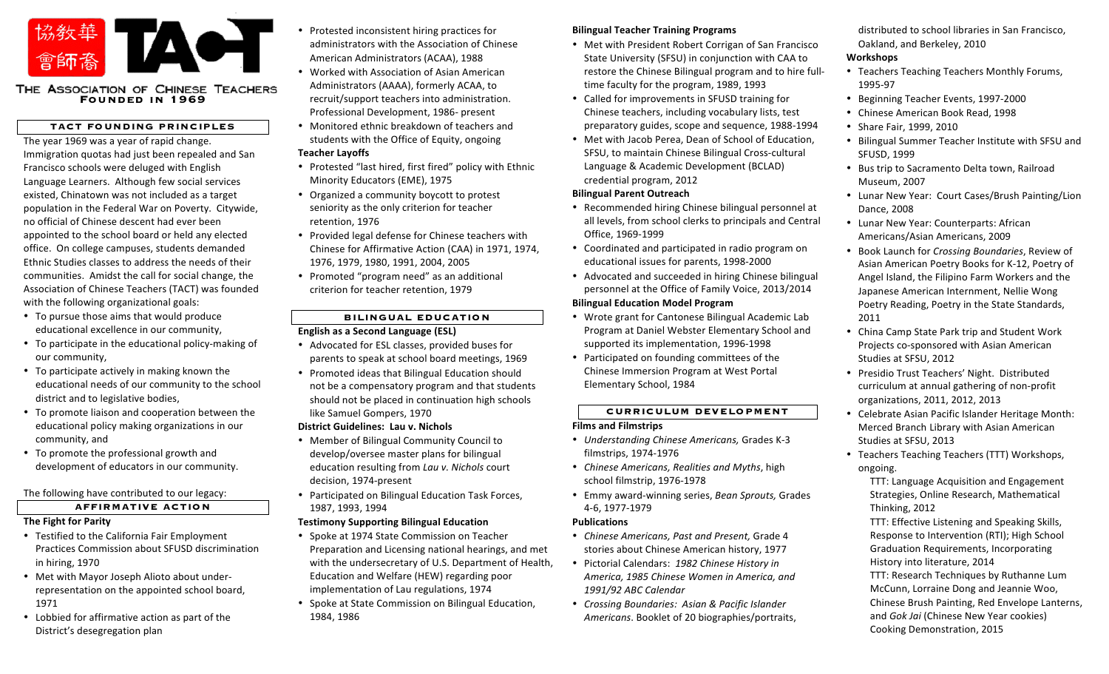

# THE ASSOCIATION OF CHINESE TEACHERS<br>FOUNDED IN **1969**

## **TACT FOUNDING PRINCIPLES**

The year 1969 was a year of rapid change. Immigration quotas had just been repealed and San Francisco schools were deluged with English Language Learners. Although few social services existed, Chinatown was not included as a target population in the Federal War on Poverty. Citywide, no official of Chinese descent had ever been appointed to the school board or held any elected office. On college campuses, students demanded Ethnic Studies classes to address the needs of their communities. Amidst the call for social change, the Association of Chinese Teachers (TACT) was founded with the following organizational goals:

- To pursue those aims that would produce educational excellence in our community,
- To participate in the educational policy-making of our community,
- To participate actively in making known the educational needs of our community to the school district and to legislative bodies,
- To promote liaison and cooperation between the educational policy making organizations in our community, and
- To promote the professional growth and development of educators in our community.

The following have contributed to our legacy:

## **AFFIRMATIVE ACTION**

## **The Fight for Parity**

- Testified to the California Fair Employment Practices Commission about SFUSD discrimination in hiring, 1970
- Met with Mayor Joseph Alioto about underrepresentation on the appointed school board, 1971
- Lobbied for affirmative action as part of the District's desegregation plan
- Protested inconsistent hiring practices for administrators with the Association of Chinese American Administrators (ACAA), 1988
	- Worked with Association of Asian American Administrators (AAAA), formerly ACAA, to recruit/support teachers into administration. Professional Development, 1986- present
- Monitored ethnic breakdown of teachers and students with the Office of Equity, ongoing

# **Teacher Layoffs**

- Protested "last hired, first fired" policy with Ethnic Minority Educators (EME), 1975
- Organized a community boycott to protest seniority as the only criterion for teacher retention, 1976
- Provided legal defense for Chinese teachers with Chinese for Affirmative Action (CAA) in 1971, 1974, 1976, 1979, 1980, 1991, 2004, 2005
- Promoted "program need" as an additional criterion for teacher retention, 1979

# **BILINGUAL EDUCATION**

# **English as a Second Language (ESL)**

- Advocated for ESL classes, provided buses for parents to speak at school board meetings, 1969
- Promoted ideas that Bilingual Education should not be a compensatory program and that students should not be placed in continuation high schools like Samuel Gompers, 1970

## **District Guidelines: Lau v. Nichols**

- Member of Bilingual Community Council to develop/oversee master plans for bilingual education resulting from *Lau v. Nichols* court decision, 1974-present
- Participated on Bilingual Education Task Forces, 1987, 1993, 1994
- **Testimony Supporting Bilingual Education**
- Spoke at 1974 State Commission on Teacher Preparation and Licensing national hearings, and met with the undersecretary of U.S. Department of Health, Education and Welfare (HEW) regarding poor implementation of Lau regulations, 1974
- Spoke at State Commission on Bilingual Education, 1984, 1986

## **Bilingual Teacher Training Programs**

- Met with President Robert Corrigan of San Francisco State University (SFSU) in conjunction with CAA to restore the Chinese Bilingual program and to hire fulltime faculty for the program, 1989, 1993
- Called for improvements in SFUSD training for Chinese teachers, including vocabulary lists, test preparatory guides, scope and sequence, 1988-1994
- Met with Jacob Perea, Dean of School of Education, SFSU, to maintain Chinese Bilingual Cross-cultural Language & Academic Development (BCLAD) credential program, 2012

## **Bilingual Parent Outreach**

- Recommended hiring Chinese bilingual personnel at all levels, from school clerks to principals and Central Office, 1969-1999
- Coordinated and participated in radio program on educational issues for parents, 1998-2000
- Advocated and succeeded in hiring Chinese bilingual personnel at the Office of Family Voice, 2013/2014 **Bilingual Education Model Program**
- Wrote grant for Cantonese Bilingual Academic Lab Program at Daniel Webster Elementary School and supported its implementation, 1996-1998
- Participated on founding committees of the Chinese Immersion Program at West Portal Elementary School, 1984

# **CURRICULUM DEVELOPMENT**

## **Films and Filmstrips**

- *Understanding Chinese Americans,* Grades K-3 filmstrips, 1974-1976
- *Chinese Americans, Realities and Myths*, high school filmstrip, 1976-1978
- Emmy award-winning series, *Bean Sprouts,* Grades 4-6, 1977-1979

## **Publications**

- Chinese Americans, Past and Present, Grade 4 stories about Chinese American history, 1977
- Pictorial Calendars: *1982 Chinese History in America, 1985 Chinese Women in America, and 1991/92 ABC Calendar*
- *Crossing Boundaries: Asian & Pacific Islander Americans*. Booklet of 20 biographies/portraits,

distributed to school libraries in San Francisco, Oakland, and Berkeley, 2010

## **Workshops**

- Teachers Teaching Teachers Monthly Forums, 1995-97
- Beginning Teacher Events, 1997-2000
- Chinese American Book Read, 1998
- Share Fair, 1999, 2010
- Bilingual Summer Teacher Institute with SFSU and SFUSD, 1999
- Bus trip to Sacramento Delta town, Railroad Museum, 2007
- Lunar New Year: Court Cases/Brush Painting/Lion Dance, 2008
- Lunar New Year: Counterparts: African Americans/Asian Americans, 2009
- Book Launch for *Crossing Boundaries*, Review of Asian American Poetry Books for K-12, Poetry of Angel Island, the Filipino Farm Workers and the Japanese American Internment, Nellie Wong Poetry Reading, Poetry in the State Standards, 2011
- China Camp State Park trip and Student Work Projects co-sponsored with Asian American Studies at SFSU, 2012
- Presidio Trust Teachers' Night. Distributed curriculum at annual gathering of non-profit organizations, 2011, 2012, 2013
- Celebrate Asian Pacific Islander Heritage Month: Merced Branch Library with Asian American Studies at SFSU, 2013
- Teachers Teaching Teachers (TTT) Workshops, ongoing.

TTT: Language Acquisition and Engagement Strategies, Online Research, Mathematical Thinking, 2012

TTT: Effective Listening and Speaking Skills, Response to Intervention (RTI); High School Graduation Requirements, Incorporating History into literature, 2014 TTT: Research Techniques by Ruthanne Lum

McCunn, Lorraine Dong and Jeannie Woo, Chinese Brush Painting, Red Envelope Lanterns, and *Gok Jai* (Chinese New Year cookies) Cooking Demonstration, 2015